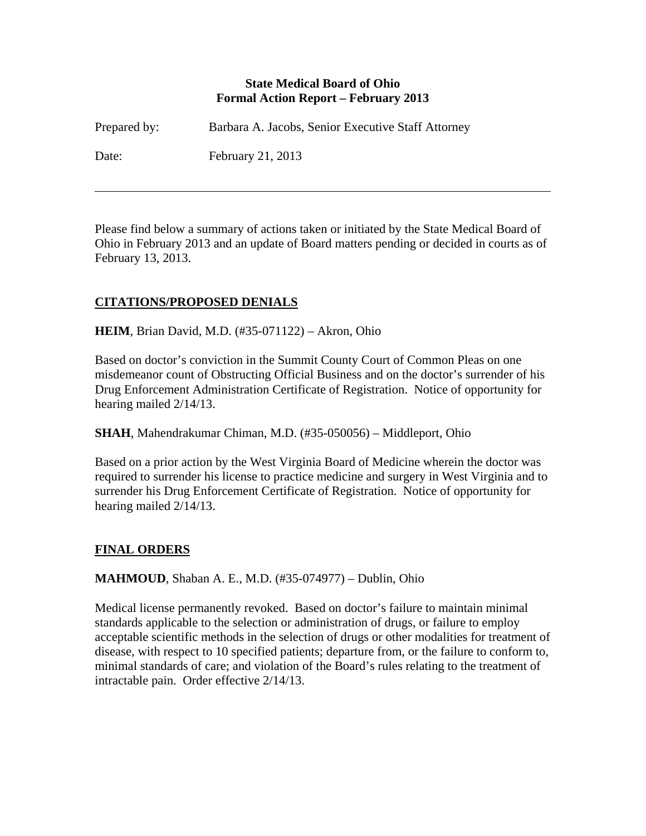### **State Medical Board of Ohio Formal Action Report – February 2013**

| Prepared by: | Barbara A. Jacobs, Senior Executive Staff Attorney |
|--------------|----------------------------------------------------|
| Date:        | February 21, 2013                                  |

Please find below a summary of actions taken or initiated by the State Medical Board of Ohio in February 2013 and an update of Board matters pending or decided in courts as of February 13, 2013.

# **CITATIONS/PROPOSED DENIALS**

### **HEIM**, Brian David, M.D. (#35-071122) – Akron, Ohio

Based on doctor's conviction in the Summit County Court of Common Pleas on one misdemeanor count of Obstructing Official Business and on the doctor's surrender of his Drug Enforcement Administration Certificate of Registration. Notice of opportunity for hearing mailed 2/14/13.

**SHAH**, Mahendrakumar Chiman, M.D. (#35-050056) – Middleport, Ohio

Based on a prior action by the West Virginia Board of Medicine wherein the doctor was required to surrender his license to practice medicine and surgery in West Virginia and to surrender his Drug Enforcement Certificate of Registration. Notice of opportunity for hearing mailed 2/14/13.

### **FINAL ORDERS**

 $\overline{a}$ 

#### **MAHMOUD**, Shaban A. E., M.D. (#35-074977) – Dublin, Ohio

Medical license permanently revoked. Based on doctor's failure to maintain minimal standards applicable to the selection or administration of drugs, or failure to employ acceptable scientific methods in the selection of drugs or other modalities for treatment of disease, with respect to 10 specified patients; departure from, or the failure to conform to, minimal standards of care; and violation of the Board's rules relating to the treatment of intractable pain. Order effective 2/14/13.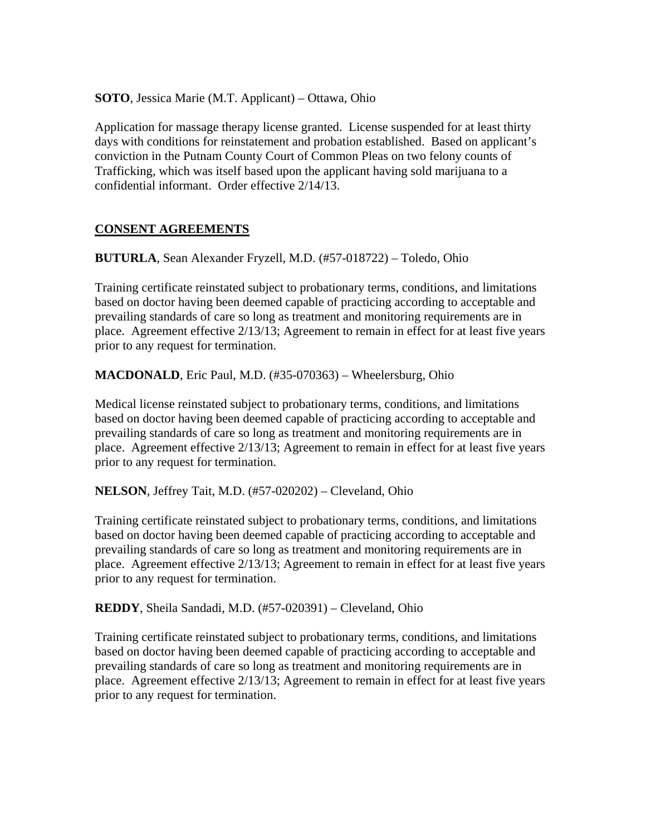**SOTO**, Jessica Marie (M.T. Applicant) – Ottawa, Ohio

Application for massage therapy license granted. License suspended for at least thirty days with conditions for reinstatement and probation established. Based on applicant's conviction in the Putnam County Court of Common Pleas on two felony counts of Trafficking, which was itself based upon the applicant having sold marijuana to a confidential informant. Order effective 2/14/13.

# **CONSENT AGREEMENTS**

**BUTURLA**, Sean Alexander Fryzell, M.D. (#57-018722) – Toledo, Ohio

Training certificate reinstated subject to probationary terms, conditions, and limitations based on doctor having been deemed capable of practicing according to acceptable and prevailing standards of care so long as treatment and monitoring requirements are in place. Agreement effective 2/13/13; Agreement to remain in effect for at least five years prior to any request for termination.

**MACDONALD**, Eric Paul, M.D. (#35-070363) – Wheelersburg, Ohio

Medical license reinstated subject to probationary terms, conditions, and limitations based on doctor having been deemed capable of practicing according to acceptable and prevailing standards of care so long as treatment and monitoring requirements are in place. Agreement effective 2/13/13; Agreement to remain in effect for at least five years prior to any request for termination.

**NELSON**, Jeffrey Tait, M.D. (#57-020202) – Cleveland, Ohio

Training certificate reinstated subject to probationary terms, conditions, and limitations based on doctor having been deemed capable of practicing according to acceptable and prevailing standards of care so long as treatment and monitoring requirements are in place. Agreement effective 2/13/13; Agreement to remain in effect for at least five years prior to any request for termination.

**REDDY**, Sheila Sandadi, M.D. (#57-020391) – Cleveland, Ohio

Training certificate reinstated subject to probationary terms, conditions, and limitations based on doctor having been deemed capable of practicing according to acceptable and prevailing standards of care so long as treatment and monitoring requirements are in place. Agreement effective 2/13/13; Agreement to remain in effect for at least five years prior to any request for termination.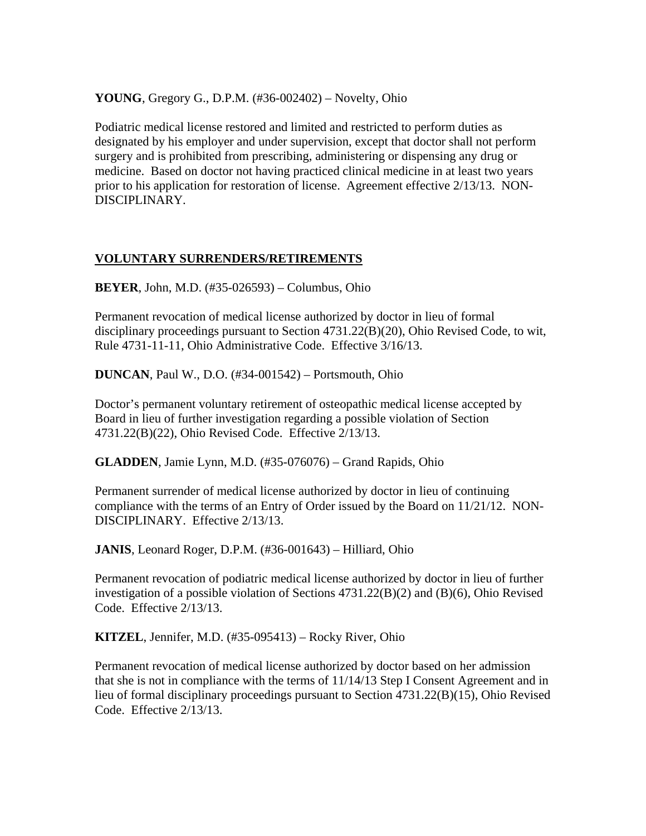**YOUNG**, Gregory G., D.P.M. (#36-002402) – Novelty, Ohio

Podiatric medical license restored and limited and restricted to perform duties as designated by his employer and under supervision, except that doctor shall not perform surgery and is prohibited from prescribing, administering or dispensing any drug or medicine. Based on doctor not having practiced clinical medicine in at least two years prior to his application for restoration of license. Agreement effective 2/13/13. NON-DISCIPLINARY.

#### **VOLUNTARY SURRENDERS/RETIREMENTS**

**BEYER**, John, M.D. (#35-026593) – Columbus, Ohio

Permanent revocation of medical license authorized by doctor in lieu of formal disciplinary proceedings pursuant to Section 4731.22(B)(20), Ohio Revised Code, to wit, Rule 4731-11-11, Ohio Administrative Code. Effective 3/16/13.

**DUNCAN**, Paul W., D.O. (#34-001542) – Portsmouth, Ohio

Doctor's permanent voluntary retirement of osteopathic medical license accepted by Board in lieu of further investigation regarding a possible violation of Section 4731.22(B)(22), Ohio Revised Code. Effective 2/13/13.

**GLADDEN**, Jamie Lynn, M.D. (#35-076076) – Grand Rapids, Ohio

Permanent surrender of medical license authorized by doctor in lieu of continuing compliance with the terms of an Entry of Order issued by the Board on 11/21/12. NON-DISCIPLINARY. Effective 2/13/13.

**JANIS**, Leonard Roger, D.P.M. (#36-001643) – Hilliard, Ohio

Permanent revocation of podiatric medical license authorized by doctor in lieu of further investigation of a possible violation of Sections 4731.22(B)(2) and (B)(6), Ohio Revised Code. Effective 2/13/13.

**KITZEL**, Jennifer, M.D. (#35-095413) – Rocky River, Ohio

Permanent revocation of medical license authorized by doctor based on her admission that she is not in compliance with the terms of 11/14/13 Step I Consent Agreement and in lieu of formal disciplinary proceedings pursuant to Section 4731.22(B)(15), Ohio Revised Code. Effective 2/13/13.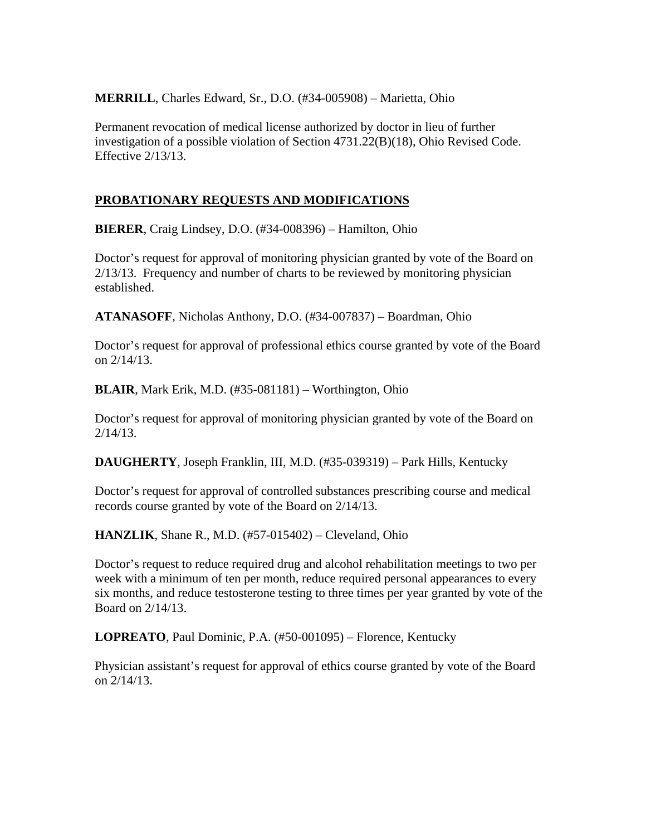**MERRILL**, Charles Edward, Sr., D.O. (#34-005908) – Marietta, Ohio

Permanent revocation of medical license authorized by doctor in lieu of further investigation of a possible violation of Section 4731.22(B)(18), Ohio Revised Code. Effective 2/13/13.

# **PROBATIONARY REQUESTS AND MODIFICATIONS**

**BIERER**, Craig Lindsey, D.O. (#34-008396) – Hamilton, Ohio

Doctor's request for approval of monitoring physician granted by vote of the Board on 2/13/13. Frequency and number of charts to be reviewed by monitoring physician established.

**ATANASOFF**, Nicholas Anthony, D.O. (#34-007837) – Boardman, Ohio

Doctor's request for approval of professional ethics course granted by vote of the Board on 2/14/13.

**BLAIR**, Mark Erik, M.D. (#35-081181) – Worthington, Ohio

Doctor's request for approval of monitoring physician granted by vote of the Board on 2/14/13.

**DAUGHERTY**, Joseph Franklin, III, M.D. (#35-039319) – Park Hills, Kentucky

Doctor's request for approval of controlled substances prescribing course and medical records course granted by vote of the Board on 2/14/13.

**HANZLIK**, Shane R., M.D. (#57-015402) – Cleveland, Ohio

Doctor's request to reduce required drug and alcohol rehabilitation meetings to two per week with a minimum of ten per month, reduce required personal appearances to every six months, and reduce testosterone testing to three times per year granted by vote of the Board on 2/14/13.

**LOPREATO**, Paul Dominic, P.A. (#50-001095) – Florence, Kentucky

Physician assistant's request for approval of ethics course granted by vote of the Board on 2/14/13.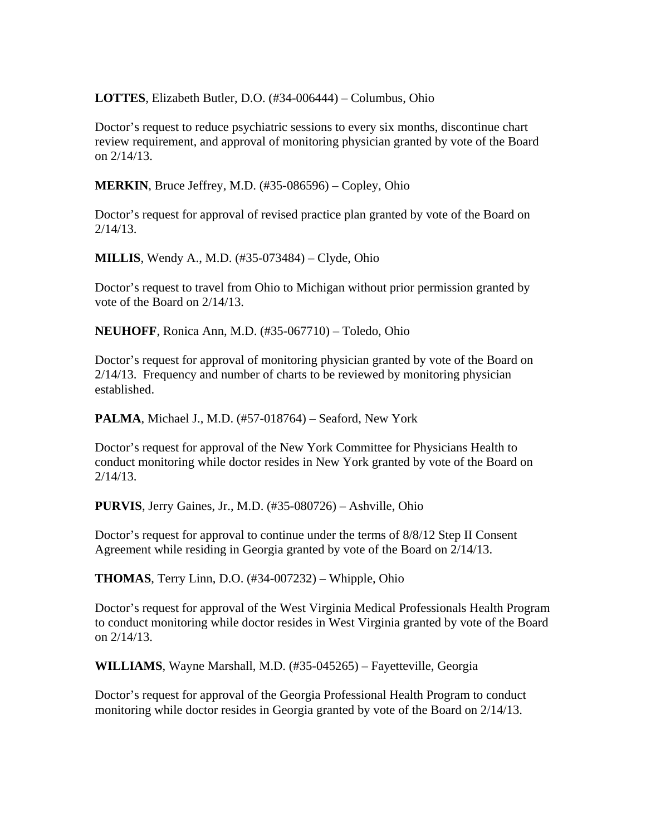**LOTTES**, Elizabeth Butler, D.O. (#34-006444) – Columbus, Ohio

Doctor's request to reduce psychiatric sessions to every six months, discontinue chart review requirement, and approval of monitoring physician granted by vote of the Board on 2/14/13.

**MERKIN**, Bruce Jeffrey, M.D. (#35-086596) – Copley, Ohio

Doctor's request for approval of revised practice plan granted by vote of the Board on 2/14/13.

**MILLIS**, Wendy A., M.D. (#35-073484) – Clyde, Ohio

Doctor's request to travel from Ohio to Michigan without prior permission granted by vote of the Board on 2/14/13.

**NEUHOFF**, Ronica Ann, M.D. (#35-067710) – Toledo, Ohio

Doctor's request for approval of monitoring physician granted by vote of the Board on 2/14/13. Frequency and number of charts to be reviewed by monitoring physician established.

**PALMA**, Michael J., M.D. (#57-018764) – Seaford, New York

Doctor's request for approval of the New York Committee for Physicians Health to conduct monitoring while doctor resides in New York granted by vote of the Board on 2/14/13.

**PURVIS**, Jerry Gaines, Jr., M.D. (#35-080726) – Ashville, Ohio

Doctor's request for approval to continue under the terms of 8/8/12 Step II Consent Agreement while residing in Georgia granted by vote of the Board on 2/14/13.

**THOMAS**, Terry Linn, D.O. (#34-007232) – Whipple, Ohio

Doctor's request for approval of the West Virginia Medical Professionals Health Program to conduct monitoring while doctor resides in West Virginia granted by vote of the Board on 2/14/13.

**WILLIAMS**, Wayne Marshall, M.D. (#35-045265) – Fayetteville, Georgia

Doctor's request for approval of the Georgia Professional Health Program to conduct monitoring while doctor resides in Georgia granted by vote of the Board on 2/14/13.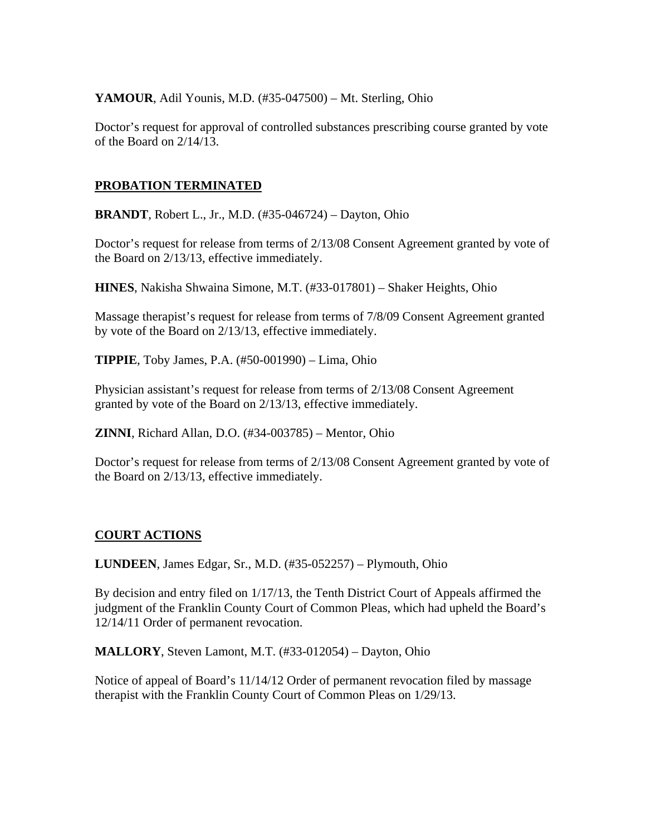### **YAMOUR**, Adil Younis, M.D. (#35-047500) – Mt. Sterling, Ohio

Doctor's request for approval of controlled substances prescribing course granted by vote of the Board on 2/14/13.

### **PROBATION TERMINATED**

**BRANDT**, Robert L., Jr., M.D. (#35-046724) – Dayton, Ohio

Doctor's request for release from terms of 2/13/08 Consent Agreement granted by vote of the Board on 2/13/13, effective immediately.

**HINES**, Nakisha Shwaina Simone, M.T. (#33-017801) – Shaker Heights, Ohio

Massage therapist's request for release from terms of 7/8/09 Consent Agreement granted by vote of the Board on 2/13/13, effective immediately.

**TIPPIE**, Toby James, P.A. (#50-001990) – Lima, Ohio

Physician assistant's request for release from terms of 2/13/08 Consent Agreement granted by vote of the Board on 2/13/13, effective immediately.

**ZINNI**, Richard Allan, D.O. (#34-003785) – Mentor, Ohio

Doctor's request for release from terms of 2/13/08 Consent Agreement granted by vote of the Board on 2/13/13, effective immediately.

### **COURT ACTIONS**

**LUNDEEN**, James Edgar, Sr., M.D. (#35-052257) – Plymouth, Ohio

By decision and entry filed on 1/17/13, the Tenth District Court of Appeals affirmed the judgment of the Franklin County Court of Common Pleas, which had upheld the Board's 12/14/11 Order of permanent revocation.

**MALLORY**, Steven Lamont, M.T. (#33-012054) – Dayton, Ohio

Notice of appeal of Board's 11/14/12 Order of permanent revocation filed by massage therapist with the Franklin County Court of Common Pleas on 1/29/13.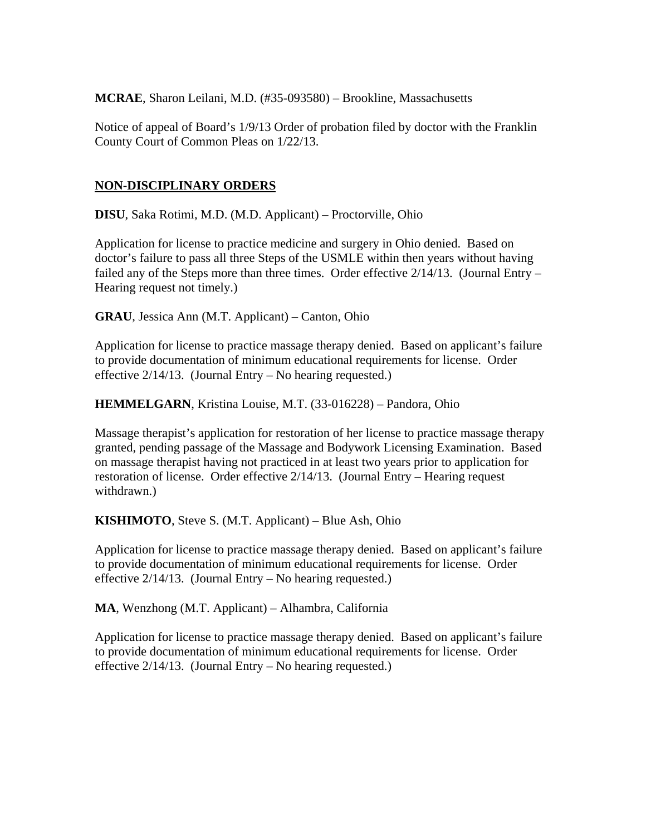**MCRAE**, Sharon Leilani, M.D. (#35-093580) – Brookline, Massachusetts

Notice of appeal of Board's 1/9/13 Order of probation filed by doctor with the Franklin County Court of Common Pleas on 1/22/13.

# **NON-DISCIPLINARY ORDERS**

**DISU**, Saka Rotimi, M.D. (M.D. Applicant) – Proctorville, Ohio

Application for license to practice medicine and surgery in Ohio denied. Based on doctor's failure to pass all three Steps of the USMLE within then years without having failed any of the Steps more than three times. Order effective  $2/14/13$ . (Journal Entry – Hearing request not timely.)

**GRAU**, Jessica Ann (M.T. Applicant) – Canton, Ohio

Application for license to practice massage therapy denied. Based on applicant's failure to provide documentation of minimum educational requirements for license. Order effective 2/14/13. (Journal Entry – No hearing requested.)

**HEMMELGARN**, Kristina Louise, M.T. (33-016228) – Pandora, Ohio

Massage therapist's application for restoration of her license to practice massage therapy granted, pending passage of the Massage and Bodywork Licensing Examination. Based on massage therapist having not practiced in at least two years prior to application for restoration of license. Order effective 2/14/13. (Journal Entry – Hearing request withdrawn.)

**KISHIMOTO**, Steve S. (M.T. Applicant) – Blue Ash, Ohio

Application for license to practice massage therapy denied. Based on applicant's failure to provide documentation of minimum educational requirements for license. Order effective 2/14/13. (Journal Entry – No hearing requested.)

**MA**, Wenzhong (M.T. Applicant) – Alhambra, California

Application for license to practice massage therapy denied. Based on applicant's failure to provide documentation of minimum educational requirements for license. Order effective 2/14/13. (Journal Entry – No hearing requested.)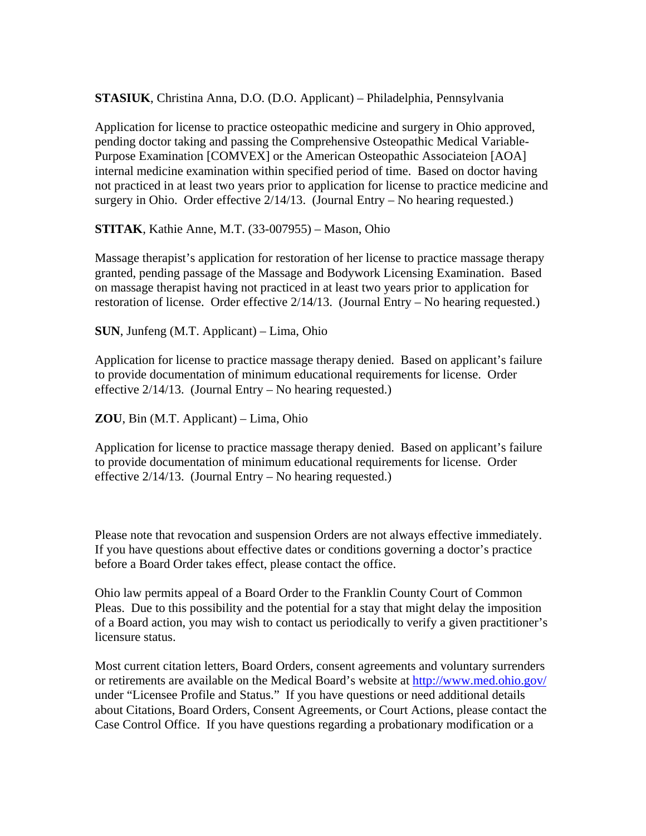**STASIUK**, Christina Anna, D.O. (D.O. Applicant) – Philadelphia, Pennsylvania

Application for license to practice osteopathic medicine and surgery in Ohio approved, pending doctor taking and passing the Comprehensive Osteopathic Medical Variable-Purpose Examination [COMVEX] or the American Osteopathic Associateion [AOA] internal medicine examination within specified period of time. Based on doctor having not practiced in at least two years prior to application for license to practice medicine and surgery in Ohio. Order effective 2/14/13. (Journal Entry – No hearing requested.)

**STITAK**, Kathie Anne, M.T. (33-007955) – Mason, Ohio

Massage therapist's application for restoration of her license to practice massage therapy granted, pending passage of the Massage and Bodywork Licensing Examination. Based on massage therapist having not practiced in at least two years prior to application for restoration of license. Order effective 2/14/13. (Journal Entry – No hearing requested.)

**SUN**, Junfeng (M.T. Applicant) – Lima, Ohio

Application for license to practice massage therapy denied. Based on applicant's failure to provide documentation of minimum educational requirements for license. Order effective 2/14/13. (Journal Entry – No hearing requested.)

**ZOU**, Bin (M.T. Applicant) – Lima, Ohio

Application for license to practice massage therapy denied. Based on applicant's failure to provide documentation of minimum educational requirements for license. Order effective 2/14/13. (Journal Entry – No hearing requested.)

Please note that revocation and suspension Orders are not always effective immediately. If you have questions about effective dates or conditions governing a doctor's practice before a Board Order takes effect, please contact the office.

Ohio law permits appeal of a Board Order to the Franklin County Court of Common Pleas. Due to this possibility and the potential for a stay that might delay the imposition of a Board action, you may wish to contact us periodically to verify a given practitioner's licensure status.

Most current citation letters, Board Orders, consent agreements and voluntary surrenders or retirements are available on the Medical Board's website at http://www.med.ohio.gov/ under "Licensee Profile and Status." If you have questions or need additional details about Citations, Board Orders, Consent Agreements, or Court Actions, please contact the Case Control Office. If you have questions regarding a probationary modification or a